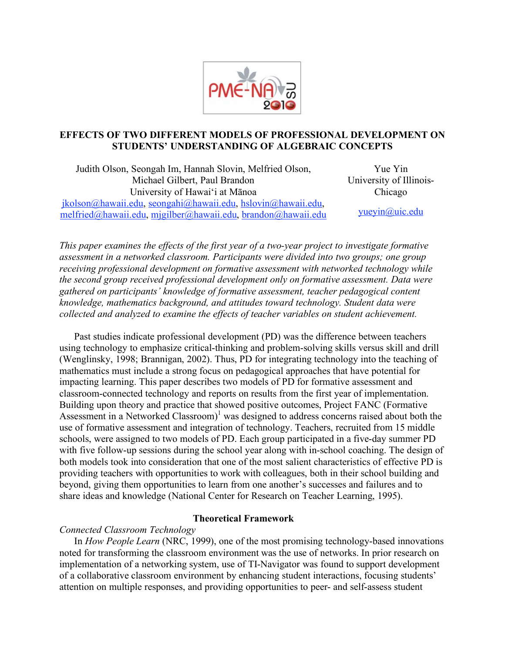

# **EFFECTS OF TWO DIFFERENT MODELS OF PROFESSIONAL DEVELOPMENT ON STUDENTS' UNDERSTANDING OF ALGEBRAIC CONCEPTS**

Judith Olson, Seongah Im, Hannah Slovin, Melfried Olson, Michael Gilbert, Paul Brandon University of Hawai'i at Mānoa jkolson@hawaii.edu, seongahi@hawaii.edu, hslovin@hawaii.edu, melfried@hawaii.edu, mjgilber@hawaii.edu, brandon@hawaii.edu Yue Yin University of Illinois-Chicago yueyin@uic.edu

*This paper examines the effects of the first year of a two-year project to investigate formative assessment in a networked classroom. Participants were divided into two groups; one group receiving professional development on formative assessment with networked technology while the second group received professional development only on formative assessment. Data were gathered on participants' knowledge of formative assessment, teacher pedagogical content knowledge, mathematics background, and attitudes toward technology. Student data were collected and analyzed to examine the effects of teacher variables on student achievement.* 

Past studies indicate professional development (PD) was the difference between teachers using technology to emphasize critical-thinking and problem-solving skills versus skill and drill (Wenglinsky, 1998; Brannigan, 2002). Thus, PD for integrating technology into the teaching of mathematics must include a strong focus on pedagogical approaches that have potential for impacting learning. This paper describes two models of PD for formative assessment and classroom-connected technology and reports on results from the first year of implementation. Building upon theory and practice that showed positive outcomes, Project FANC (Formative Assessment in a Networked Classroom) $1$  was designed to address concerns raised about both the use of formative assessment and integration of technology. Teachers, recruited from 15 middle schools, were assigned to two models of PD. Each group participated in a five-day summer PD with five follow-up sessions during the school year along with in-school coaching. The design of both models took into consideration that one of the most salient characteristics of effective PD is providing teachers with opportunities to work with colleagues, both in their school building and beyond, giving them opportunities to learn from one another's successes and failures and to share ideas and knowledge (National Center for Research on Teacher Learning, 1995).

# **Theoretical Framework**

# *Connected Classroom Technology*

In *How People Learn* (NRC, 1999), one of the most promising technology-based innovations noted for transforming the classroom environment was the use of networks. In prior research on implementation of a networking system, use of TI-Navigator was found to support development of a collaborative classroom environment by enhancing student interactions, focusing students' attention on multiple responses, and providing opportunities to peer- and self-assess student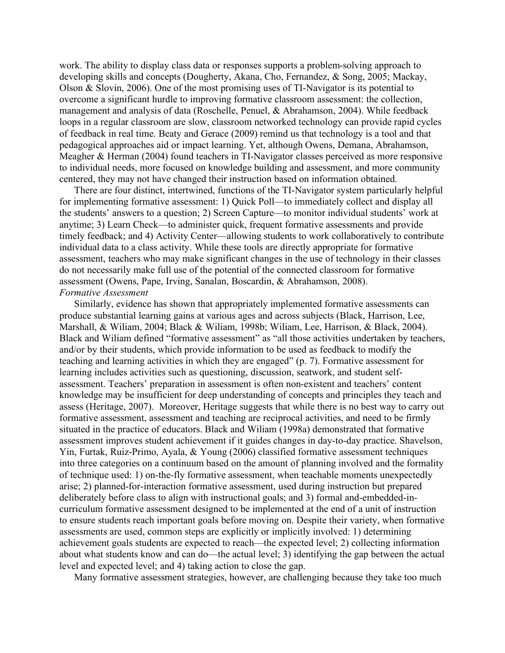work. The ability to display class data or responses supports a problem-solving approach to developing skills and concepts (Dougherty, Akana, Cho, Fernandez, & Song, 2005; Mackay, Olson & Slovin, 2006). One of the most promising uses of TI-Navigator is its potential to overcome a significant hurdle to improving formative classroom assessment: the collection, management and analysis of data (Roschelle, Penuel, & Abrahamson, 2004). While feedback loops in a regular classroom are slow, classroom networked technology can provide rapid cycles of feedback in real time. Beaty and Gerace (2009) remind us that technology is a tool and that pedagogical approaches aid or impact learning. Yet, although Owens, Demana, Abrahamson, Meagher & Herman (2004) found teachers in TI-Navigator classes perceived as more responsive to individual needs, more focused on knowledge building and assessment, and more community centered, they may not have changed their instruction based on information obtained.

There are four distinct, intertwined, functions of the TI-Navigator system particularly helpful for implementing formative assessment: 1) Quick Poll—to immediately collect and display all the students' answers to a question; 2) Screen Capture—to monitor individual students' work at anytime; 3) Learn Check—to administer quick, frequent formative assessments and provide timely feedback; and 4) Activity Center—allowing students to work collaboratively to contribute individual data to a class activity. While these tools are directly appropriate for formative assessment, teachers who may make significant changes in the use of technology in their classes do not necessarily make full use of the potential of the connected classroom for formative assessment (Owens, Pape, Irving, Sanalan, Boscardin, & Abrahamson, 2008). *Formative Assessment*

Similarly, evidence has shown that appropriately implemented formative assessments can produce substantial learning gains at various ages and across subjects (Black, Harrison, Lee, Marshall, & Wiliam, 2004; Black & Wiliam, 1998b; Wiliam, Lee, Harrison, & Black, 2004). Black and Wiliam defined "formative assessment" as "all those activities undertaken by teachers, and/or by their students, which provide information to be used as feedback to modify the teaching and learning activities in which they are engaged" (p. 7). Formative assessment for learning includes activities such as questioning, discussion, seatwork, and student selfassessment. Teachers' preparation in assessment is often non-existent and teachers' content knowledge may be insufficient for deep understanding of concepts and principles they teach and assess (Heritage, 2007). Moreover, Heritage suggests that while there is no best way to carry out formative assessment, assessment and teaching are reciprocal activities, and need to be firmly situated in the practice of educators. Black and Wiliam (1998a) demonstrated that formative assessment improves student achievement if it guides changes in day-to-day practice. Shavelson, Yin, Furtak, Ruiz-Primo, Ayala, & Young (2006) classified formative assessment techniques into three categories on a continuum based on the amount of planning involved and the formality of technique used: 1) on-the-fly formative assessment, when teachable moments unexpectedly arise; 2) planned-for-interaction formative assessment, used during instruction but prepared deliberately before class to align with instructional goals; and 3) formal and-embedded-incurriculum formative assessment designed to be implemented at the end of a unit of instruction to ensure students reach important goals before moving on. Despite their variety, when formative assessments are used, common steps are explicitly or implicitly involved: 1) determining achievement goals students are expected to reach—the expected level; 2) collecting information about what students know and can do—the actual level; 3) identifying the gap between the actual level and expected level; and 4) taking action to close the gap.

Many formative assessment strategies, however, are challenging because they take too much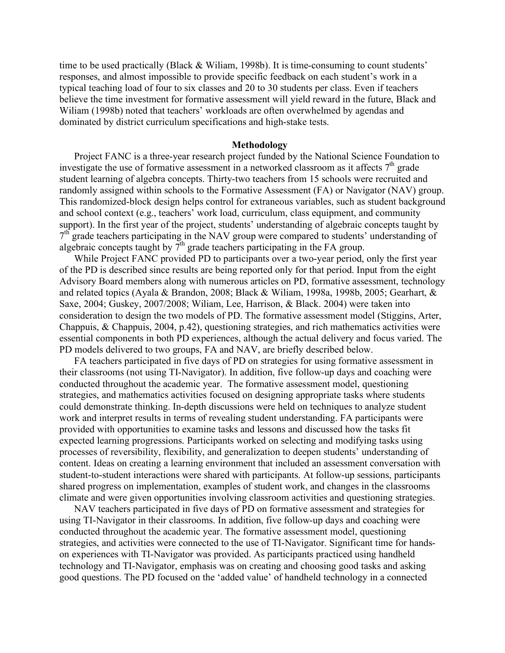time to be used practically (Black & Wiliam, 1998b). It is time-consuming to count students' responses, and almost impossible to provide specific feedback on each student's work in a typical teaching load of four to six classes and 20 to 30 students per class. Even if teachers believe the time investment for formative assessment will yield reward in the future, Black and Wiliam (1998b) noted that teachers' workloads are often overwhelmed by agendas and dominated by district curriculum specifications and high-stake tests.

### **Methodology**

Project FANC is a three-year research project funded by the National Science Foundation to investigate the use of formative assessment in a networked classroom as it affects  $7<sup>th</sup>$  grade student learning of algebra concepts. Thirty-two teachers from 15 schools were recruited and randomly assigned within schools to the Formative Assessment (FA) or Navigator (NAV) group. This randomized-block design helps control for extraneous variables, such as student background and school context (e.g., teachers' work load, curriculum, class equipment, and community support). In the first year of the project, students' understanding of algebraic concepts taught by  $7<sup>th</sup>$  grade teachers participating in the NAV group were compared to students' understanding of algebraic concepts taught by  $\bar{7}^{\text{th}}$  grade teachers participating in the FA group.

While Project FANC provided PD to participants over a two-year period, only the first year of the PD is described since results are being reported only for that period. Input from the eight Advisory Board members along with numerous articles on PD, formative assessment, technology and related topics (Ayala & Brandon, 2008; Black & Wiliam, 1998a, 1998b, 2005; Gearhart, & Saxe, 2004; Guskey, 2007/2008; Wiliam, Lee, Harrison, & Black. 2004) were taken into consideration to design the two models of PD. The formative assessment model (Stiggins, Arter, Chappuis, & Chappuis, 2004, p.42), questioning strategies, and rich mathematics activities were essential components in both PD experiences, although the actual delivery and focus varied. The PD models delivered to two groups, FA and NAV, are briefly described below.

FA teachers participated in five days of PD on strategies for using formative assessment in their classrooms (not using TI-Navigator). In addition, five follow-up days and coaching were conducted throughout the academic year. The formative assessment model, questioning strategies, and mathematics activities focused on designing appropriate tasks where students could demonstrate thinking. In-depth discussions were held on techniques to analyze student work and interpret results in terms of revealing student understanding. FA participants were provided with opportunities to examine tasks and lessons and discussed how the tasks fit expected learning progressions. Participants worked on selecting and modifying tasks using processes of reversibility, flexibility, and generalization to deepen students' understanding of content. Ideas on creating a learning environment that included an assessment conversation with student-to-student interactions were shared with participants. At follow-up sessions, participants shared progress on implementation, examples of student work, and changes in the classrooms climate and were given opportunities involving classroom activities and questioning strategies.

NAV teachers participated in five days of PD on formative assessment and strategies for using TI-Navigator in their classrooms. In addition, five follow-up days and coaching were conducted throughout the academic year. The formative assessment model, questioning strategies, and activities were connected to the use of TI-Navigator. Significant time for handson experiences with TI-Navigator was provided. As participants practiced using handheld technology and TI-Navigator, emphasis was on creating and choosing good tasks and asking good questions. The PD focused on the 'added value' of handheld technology in a connected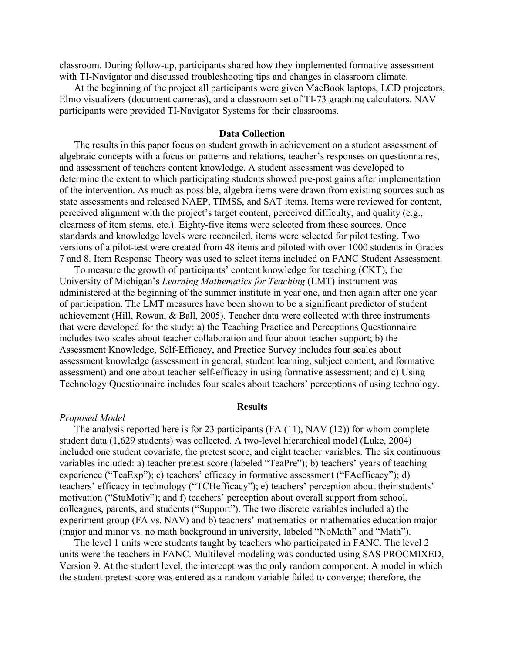classroom. During follow-up, participants shared how they implemented formative assessment with TI-Navigator and discussed troubleshooting tips and changes in classroom climate.

At the beginning of the project all participants were given MacBook laptops, LCD projectors, Elmo visualizers (document cameras), and a classroom set of TI-73 graphing calculators. NAV participants were provided TI-Navigator Systems for their classrooms.

## **Data Collection**

The results in this paper focus on student growth in achievement on a student assessment of algebraic concepts with a focus on patterns and relations, teacher's responses on questionnaires, and assessment of teachers content knowledge. A student assessment was developed to determine the extent to which participating students showed pre-post gains after implementation of the intervention. As much as possible, algebra items were drawn from existing sources such as state assessments and released NAEP, TIMSS, and SAT items. Items were reviewed for content, perceived alignment with the project's target content, perceived difficulty, and quality (e.g., clearness of item stems, etc.). Eighty-five items were selected from these sources. Once standards and knowledge levels were reconciled, items were selected for pilot testing. Two versions of a pilot-test were created from 48 items and piloted with over 1000 students in Grades 7 and 8. Item Response Theory was used to select items included on FANC Student Assessment.

To measure the growth of participants' content knowledge for teaching (CKT), the University of Michigan's *Learning Mathematics for Teaching* (LMT) instrument was administered at the beginning of the summer institute in year one, and then again after one year of participation. The LMT measures have been shown to be a significant predictor of student achievement (Hill, Rowan, & Ball, 2005). Teacher data were collected with three instruments that were developed for the study: a) the Teaching Practice and Perceptions Questionnaire includes two scales about teacher collaboration and four about teacher support; b) the Assessment Knowledge, Self-Efficacy, and Practice Survey includes four scales about assessment knowledge (assessment in general, student learning, subject content, and formative assessment) and one about teacher self-efficacy in using formative assessment; and c) Using Technology Questionnaire includes four scales about teachers' perceptions of using technology.

#### **Results**

#### *Proposed Model*

The analysis reported here is for 23 participants  $(FA (11), NAV (12))$  for whom complete student data (1,629 students) was collected. A two-level hierarchical model (Luke, 2004) included one student covariate, the pretest score, and eight teacher variables. The six continuous variables included: a) teacher pretest score (labeled "TeaPre"); b) teachers' years of teaching experience ("TeaExp"); c) teachers' efficacy in formative assessment ("FAefficacy"); d) teachers' efficacy in technology ("TCHefficacy"); e) teachers' perception about their students' motivation ("StuMotiv"); and f) teachers' perception about overall support from school, colleagues, parents, and students ("Support"). The two discrete variables included a) the experiment group (FA vs. NAV) and b) teachers' mathematics or mathematics education major (major and minor vs. no math background in university, labeled "NoMath" and "Math").

The level 1 units were students taught by teachers who participated in FANC. The level 2 units were the teachers in FANC. Multilevel modeling was conducted using SAS PROCMIXED, Version 9. At the student level, the intercept was the only random component. A model in which the student pretest score was entered as a random variable failed to converge; therefore, the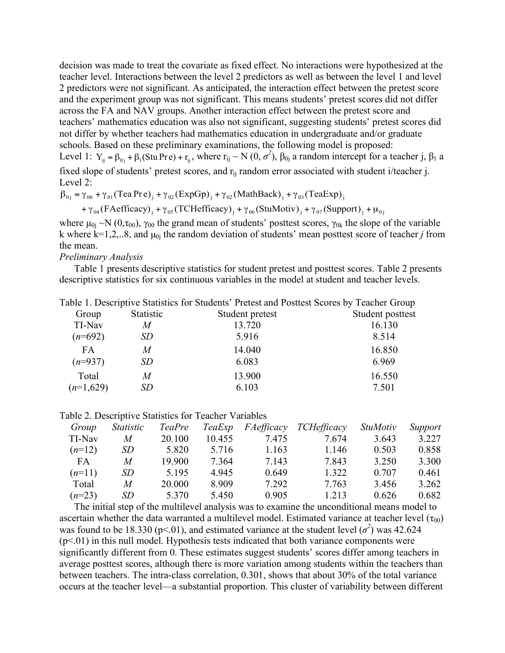decision was made to treat the covariate as fixed effect. No interactions were hypothesized at the teacher level. Interactions between the level 2 predictors as well as between the level 1 and level 2 predictors were not significant. As anticipated, the interaction effect between the pretest score and the experiment group was not significant. This means students' pretest scores did not differ across the FA and NAV groups. Another interaction effect between the pretest score and teachers' mathematics education was also not significant, suggesting students' pretest scores did not differ by whether teachers had mathematics education in undergraduate and/or graduate schools. Based on these preliminary examinations, the following model is proposed: Level 1:  $Y_{ij} = \beta_{0j} + \beta_1 (Stu Pre) + r_{ij}$ , where  $r_{ij} \sim N(0, \sigma^2)$ ,  $\beta_{0j}$  a random intercept for a teacher j,  $\beta_1$  a fixed slope of students' pretest scores, and  $r_{ii}$  random error associated with student i/teacher j. Level 2:

$$
\beta_{0j} = \gamma_{00} + \gamma_{01} (\text{Tea Pre})_j + \gamma_{02} (\text{ExpGp})_j + \gamma_{02} (\text{MathBack})_j + \gamma_{03} (\text{TeaExp})_j
$$

+  $\gamma_{04}$  (FAefficacy)<sub>j</sub> +  $\gamma_{05}$  (TCHefficacy)<sub>j</sub> +  $\gamma_{06}$  (StuMotiv)<sub>j</sub> +  $\gamma_{07}$  (Support)<sub>j</sub> +  $\mu_{0j}$ 

where  $\mu_{0i} \sim N(0,\tau_{00})$ ,  $\gamma_{00}$  the grand mean of students' posttest scores,  $\gamma_{0k}$  the slope of the variable k where  $k=1,2,..8$ , and  $\mu_{0i}$  the random deviation of students' mean posttest score of teacher *j* from the mean.

*Preliminary Analysis*

Table 1 presents descriptive statistics for student pretest and posttest scores. Table 2 presents descriptive statistics for six continuous variables in the model at student and teacher levels.

|             |           | Table 1. Descriptive Statistics for Students' Pretest and Posttest Scores by Teacher Group |                  |
|-------------|-----------|--------------------------------------------------------------------------------------------|------------------|
| Group       | Statistic | Student pretest                                                                            | Student posttest |
| TI-Nav      | M         | 13.720                                                                                     | 16.130           |
| $(n=692)$   | SD        | 5.916                                                                                      | 8.514            |
| FA          | M         | 14.040                                                                                     | 16.850           |
| $(n=937)$   | SD        | 6.083                                                                                      | 6.969            |
| Total       | M         | 13.900                                                                                     | 16.550           |
| $(n=1,629)$ | SD        | 6.103                                                                                      | 7.501            |

#### Table 2. Descriptive Statistics for Teacher Variables

| Group    | <i>Statistic</i> | <i>TeaPre</i> | TeaExp | FAefficacy | TCHefficacy | <i>StuMotiv</i> | Support |
|----------|------------------|---------------|--------|------------|-------------|-----------------|---------|
| TI-Nav   | M                | 20.100        | 10.455 | 7.475      | 7.674       | 3.643           | 3.227   |
| $(n=12)$ | SD               | 5.820         | 5.716  | 1.163      | 1.146       | 0.503           | 0.858   |
| FA       | M                | 19.900        | 7.364  | 7.143      | 7.843       | 3.250           | 3.300   |
| $(n=11)$ | SD               | 5.195         | 4.945  | 0.649      | 1.322       | 0.707           | 0.461   |
| Total    | M                | 20.000        | 8.909  | 7.292      | 7.763       | 3.456           | 3.262   |
| $(n=23)$ | SD               | 5.370         | 5.450  | 0.905      | 1.213       | 0.626           | 0.682   |

The initial step of the multilevel analysis was to examine the unconditional means model to ascertain whether the data warranted a multilevel model. Estimated variance at teacher level  $(\tau_{00})$ was found to be 18.330 ( $p<01$ ), and estimated variance at the student level ( $\sigma^2$ ) was 42.624  $(p<01)$  in this null model. Hypothesis tests indicated that both variance components were significantly different from 0. These estimates suggest students' scores differ among teachers in average posttest scores, although there is more variation among students within the teachers than between teachers. The intra-class correlation, 0.301, shows that about 30% of the total variance occurs at the teacher level—a substantial proportion. This cluster of variability between different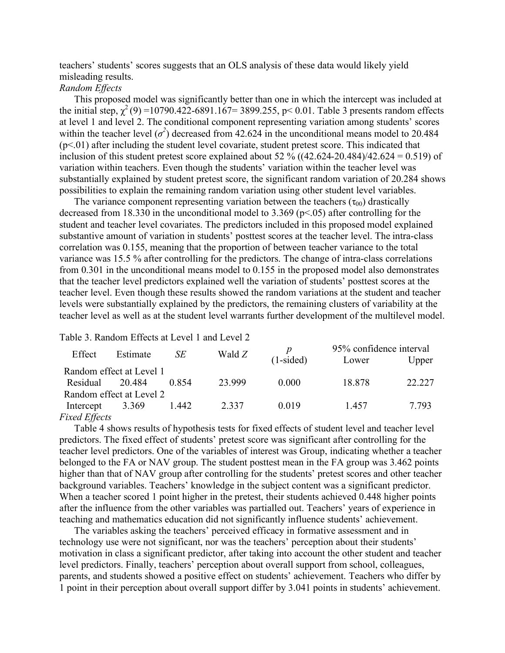teachers' students' scores suggests that an OLS analysis of these data would likely yield misleading results.

## *Random Effects*

This proposed model was significantly better than one in which the intercept was included at the initial step,  $\chi^2$  (9) =10790.422-6891.167= 3899.255, p< 0.01. Table 3 presents random effects at level 1 and level 2. The conditional component representing variation among students' scores within the teacher level  $(\sigma^2)$  decreased from 42.624 in the unconditional means model to 20.484  $(p<01)$  after including the student level covariate, student pretest score. This indicated that inclusion of this student pretest score explained about 52 %  $((42.624-20.484)/42.624 = 0.519)$  of variation within teachers. Even though the students' variation within the teacher level was substantially explained by student pretest score, the significant random variation of 20.284 shows possibilities to explain the remaining random variation using other student level variables.

The variance component representing variation between the teachers ( $\tau_{00}$ ) drastically decreased from 18.330 in the unconditional model to 3.369 (p<.05) after controlling for the student and teacher level covariates. The predictors included in this proposed model explained substantive amount of variation in students' posttest scores at the teacher level. The intra-class correlation was 0.155, meaning that the proportion of between teacher variance to the total variance was 15.5 % after controlling for the predictors. The change of intra-class correlations from 0.301 in the unconditional means model to 0.155 in the proposed model also demonstrates that the teacher level predictors explained well the variation of students' posttest scores at the teacher level. Even though these results showed the random variations at the student and teacher levels were substantially explained by the predictors, the remaining clusters of variability at the teacher level as well as at the student level warrants further development of the multilevel model.

### Table 3. Random Effects at Level 1 and Level 2

| Effect                   | Estimate | SE    | Wald $Z$ |             | 95% confidence interval |        |  |  |
|--------------------------|----------|-------|----------|-------------|-------------------------|--------|--|--|
|                          |          |       |          | $(1-sided)$ | Lower                   | Upper  |  |  |
| Random effect at Level 1 |          |       |          |             |                         |        |  |  |
| Residual                 | 20.484   | 0.854 | 23.999   | 0.000       | 18.878                  | 22.227 |  |  |
| Random effect at Level 2 |          |       |          |             |                         |        |  |  |
| Intercept                | 3.369    | 1.442 | 2.337    | 0.019       | 1457                    | 7.793  |  |  |
| $Fixed$ Fffocts          |          |       |          |             |                         |        |  |  |

## *Fixed Effects*

Table 4 shows results of hypothesis tests for fixed effects of student level and teacher level predictors. The fixed effect of students' pretest score was significant after controlling for the teacher level predictors. One of the variables of interest was Group, indicating whether a teacher belonged to the FA or NAV group. The student posttest mean in the FA group was 3.462 points higher than that of NAV group after controlling for the students' pretest scores and other teacher background variables. Teachers' knowledge in the subject content was a significant predictor. When a teacher scored 1 point higher in the pretest, their students achieved 0.448 higher points after the influence from the other variables was partialled out. Teachers' years of experience in teaching and mathematics education did not significantly influence students' achievement.

The variables asking the teachers' perceived efficacy in formative assessment and in technology use were not significant, nor was the teachers' perception about their students' motivation in class a significant predictor, after taking into account the other student and teacher level predictors. Finally, teachers' perception about overall support from school, colleagues, parents, and students showed a positive effect on students' achievement. Teachers who differ by 1 point in their perception about overall support differ by 3.041 points in students' achievement.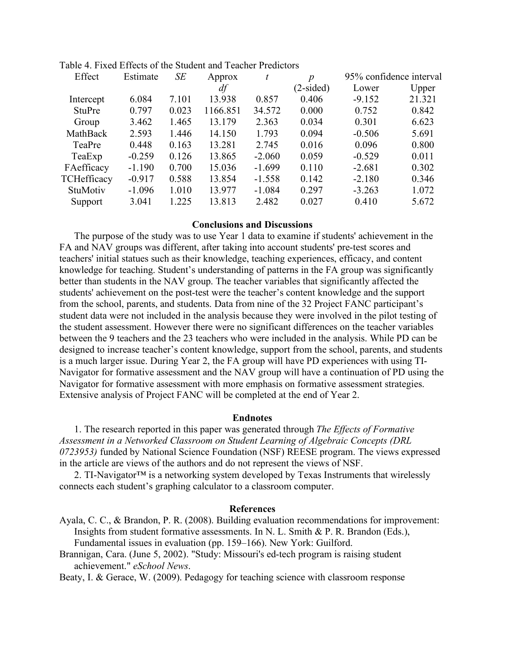| Effect        | Estimate | <b>SE</b> | Approx   | t        | $\boldsymbol{p}$ | 95% confidence interval |        |
|---------------|----------|-----------|----------|----------|------------------|-------------------------|--------|
|               |          |           | df       |          | $(2\t{-sided})$  | Lower                   | Upper  |
| Intercept     | 6.084    | 7.101     | 13.938   | 0.857    | 0.406            | $-9.152$                | 21.321 |
| <b>StuPre</b> | 0.797    | 0.023     | 1166.851 | 34.572   | 0.000            | 0.752                   | 0.842  |
| Group         | 3.462    | 1.465     | 13.179   | 2.363    | 0.034            | 0.301                   | 6.623  |
| MathBack      | 2.593    | 1.446     | 14.150   | 1.793    | 0.094            | $-0.506$                | 5.691  |
| TeaPre        | 0.448    | 0.163     | 13.281   | 2.745    | 0.016            | 0.096                   | 0.800  |
| TeaExp        | $-0.259$ | 0.126     | 13.865   | $-2.060$ | 0.059            | $-0.529$                | 0.011  |
| FAefficacy    | $-1.190$ | 0.700     | 15.036   | $-1.699$ | 0.110            | $-2.681$                | 0.302  |
| TCHefficacy   | $-0.917$ | 0.588     | 13.854   | $-1.558$ | 0.142            | $-2.180$                | 0.346  |
| StuMotiv      | $-1.096$ | 1.010     | 13.977   | $-1.084$ | 0.297            | $-3.263$                | 1.072  |
| Support       | 3.041    | 1.225     | 13.813   | 2.482    | 0.027            | 0.410                   | 5.672  |
|               |          |           |          |          |                  |                         |        |

Table 4. Fixed Effects of the Student and Teacher Predictors

## **Conclusions and Discussions**

The purpose of the study was to use Year 1 data to examine if students' achievement in the FA and NAV groups was different, after taking into account students' pre-test scores and teachers' initial statues such as their knowledge, teaching experiences, efficacy, and content knowledge for teaching. Student's understanding of patterns in the FA group was significantly better than students in the NAV group. The teacher variables that significantly affected the students' achievement on the post-test were the teacher's content knowledge and the support from the school, parents, and students. Data from nine of the 32 Project FANC participant's student data were not included in the analysis because they were involved in the pilot testing of the student assessment. However there were no significant differences on the teacher variables between the 9 teachers and the 23 teachers who were included in the analysis. While PD can be designed to increase teacher's content knowledge, support from the school, parents, and students is a much larger issue. During Year 2, the FA group will have PD experiences with using TI-Navigator for formative assessment and the NAV group will have a continuation of PD using the Navigator for formative assessment with more emphasis on formative assessment strategies. Extensive analysis of Project FANC will be completed at the end of Year 2.

# **Endnotes**

1. The research reported in this paper was generated through *The Effects of Formative Assessment in a Networked Classroom on Student Learning of Algebraic Concepts (DRL 0723953)* funded by National Science Foundation (NSF) REESE program. The views expressed in the article are views of the authors and do not represent the views of NSF.

2. TI-Navigator™ is a networking system developed by Texas Instruments that wirelessly connects each student's graphing calculator to a classroom computer.

# **References**

- Ayala, C. C., & Brandon, P. R. (2008). Building evaluation recommendations for improvement: Insights from student formative assessments. In N. L. Smith & P. R. Brandon (Eds.), Fundamental issues in evaluation (pp. 159–166). New York: Guilford.
- Brannigan, Cara. (June 5, 2002). "Study: Missouri's ed-tech program is raising student achievement." *eSchool News*.

Beaty, I. & Gerace, W. (2009). Pedagogy for teaching science with classroom response